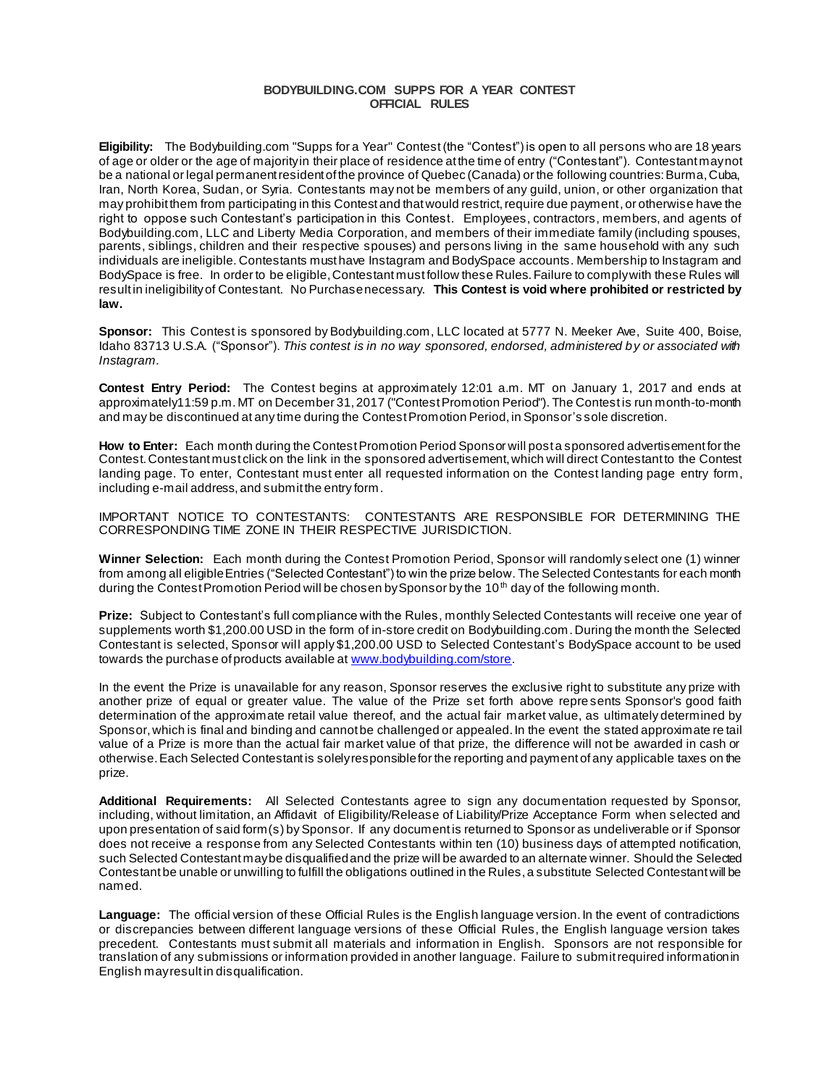## **BODYBUILDING.COM SUPPS FOR A YEAR CONTEST OFFICIAL RULES**

**Eligibility:** The Bodybuilding.com "Supps for a Year" Contest (the "Contest") is open to all persons who are 18 years of age or older or the age of majority in their place of residence at the time of entry ("Contestant"). Contestant may not be a national or legal permanent resident of the province of Quebec (Canada) or the following countries: Burma, Cuba, Iran, North Korea, Sudan, or Syria. Contestants may not be members of any guild, union, or other organization that may prohibit them from participating in this Contest and that would restrict, require due payment,or otherwise have the right to oppose such Contestant's participation in this Contest. Employees, contractors, members, and agents of Bodybuilding.com, LLC and Liberty Media Corporation, and members of their immediate family (including spouses, parents, siblings, children and their respective spouses) and persons living in the same household with any such individuals are ineligible. Contestants must have Instagram and BodySpace accounts. Membership to Instagram and BodySpace is free. In order to be eligible, Contestant must follow these Rules. Failure to comply with these Rules will result in ineligibilityof Contestant. No Purchase necessary. **This Contest is void where prohibited or restricted by law.**

**Sponsor:** This Contest is sponsored by Bodybuilding.com, LLC located at 5777 N. Meeker Ave, Suite 400, Boise, Idaho 83713 U.S.A. ("Sponsor"). *This contest is in no way sponsored, endorsed, administered by or associated with Instagram.*

**Contest Entry Period:** The Contest begins at approximately 12:01 a.m. MT on January 1, 2017 and ends at approximately11:59 p.m. MT on December 31, 2017 ("Contest Promotion Period"). The Contest is run month-to-month and may be discontinued at any time during the Contest Promotion Period, in Sponsor's sole discretion.

**How to Enter:** Each month during the Contest Promotion Period Sponsor will post a sponsored advertisement for the Contest. Contestant must click on the link in the sponsored advertisement, which will direct Contestant to the Contest landing page. To enter, Contestant must enter all requested information on the Contest landing page entry form, including e-mail address, and submit the entry form.

IMPORTANT NOTICE TO CONTESTANTS: CONTESTANTS ARE RESPONSIBLE FOR DETERMINING THE CORRESPONDING TIME ZONE IN THEIR RESPECTIVE JURISDICTION.

**Winner Selection:** Each month during the Contest Promotion Period, Sponsor will randomly select one (1) winner from among all eligible Entries ("Selected Contestant") to win the prize below. The Selected Contestants for each month during the Contest Promotion Period will be chosen by Sponsor by the 10<sup>th</sup> day of the following month.

**Prize:** Subject to Contestant's full compliance with the Rules, monthly Selected Contestants will receive one year of supplements worth \$1,200.00 USD in the form of in-store credit on Bodybuilding.com. During the month the Selected Contestant is selected, Sponsor will apply \$1,200.00 USD to Selected Contestant's BodySpace account to be used towards the purchase of products available a[t www.bodybuilding.com/store](http://www.bodybuilding.com/store).

In the event the Prize is unavailable for any reason, Sponsor reserves the exclusive right to substitute any prize with another prize of equal or greater value. The value of the Prize set forth above repre sents Sponsor's good faith determination of the approximate retail value thereof, and the actual fair market value, as ultimately determined by Sponsor, which is final and binding and cannot be challenged or appealed. In the event the stated approximate re tail value of a Prize is more than the actual fair market value of that prize, the difference will not be awarded in cash or otherwise. Each Selected Contestant is solely responsible for the reporting and payment of any applicable taxes on the prize.

**Additional Requirements:** All Selected Contestants agree to sign any documentation requested by Sponsor, including, without limitation, an Affidavit of Eligibility/Release of Liability/Prize Acceptance Form when selected and upon presentation of said form(s) by Sponsor. If any document is returned to Sponsor as undeliverable or if Sponsor does not receive a response from any Selected Contestants within ten (10) business days of attempted notification, such Selected Contestant may be disqualified and the prize will be awarded to an alternate winner. Should the Selected Contestant be unable or unwilling to fulfill the obligations outlined in the Rules, a substitute Selected Contestant will be named.

**Language:** The official version of these Official Rules is the English language version. In the event of contradictions or discrepancies between different language versions of these Official Rules, the English language version takes precedent. Contestants must submit all materials and information in English. Sponsors are not responsible for translation of any submissions or information provided in another language. Failure to submit required information in English may result in disqualification.